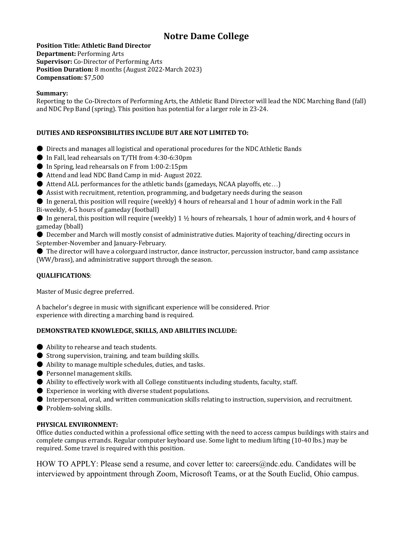# **Notre Dame College**

**Position Title: Athletic Band Director Department:** Performing Arts **Supervisor:** Co-Director of Performing Arts **Position Duration:** 8 months (August 2022-March 2023) **Compensation:** \$7,500

### **Summary:**

Reporting to the Co-Directors of Performing Arts, the Athletic Band Director will lead the NDC Marching Band (fall) and NDC Pep Band (spring). This position has potential for a larger role in 23-24.

## **DUTIES AND RESPONSIBILITIES INCLUDE BUT ARE NOT LIMITED TO:**

- Directs and manages all logistical and operational procedures for the NDC Athletic Bands
- In Fall, lead rehearsals on T/TH from 4:30-6:30pm
- In Spring, lead rehearsals on F from 1:00-2:15pm
- Attend and lead NDC Band Camp in mid- August 2022.
- Attend ALL performances for the athletic bands (gamedays, NCAA playoffs, etc...)
- Assist with recruitment, retention, programming, and budgetary needs during the season
- $\bullet$  In general, this position will require (weekly) 4 hours of rehearsal and 1 hour of admin work in the Fall
- Bi-weekly, 4-5 hours of gameday (football)

 $\bullet$  In general, this position will require (weekly) 1  $\frac{1}{2}$  hours of rehearsals, 1 hour of admin work, and 4 hours of gameday (bball)

- $\bullet$  December and March will mostly consist of administrative duties. Majority of teaching/directing occurs in September-November and January-February.
- $\bullet$  The director will have a colorguard instructor, dance instructor, percussion instructor, band camp assistance (WW/brass), and administrative support through the season.

### **QUALIFICATIONS**:

Master of Music degree preferred.

A bachelor's degree in music with significant experience will be considered. Prior experience with directing a marching band is required.

### **DEMONSTRATED KNOWLEDGE, SKILLS, AND ABILITIES INCLUDE:**

- Ability to rehearse and teach students.
- $\bullet$  Strong supervision, training, and team building skills.
- $\bullet$  Ability to manage multiple schedules, duties, and tasks.
- Personnel management skills.
- Ability to effectively work with all College constituents including students, faculty, staff.
- $\bullet$  Experience in working with diverse student populations.
- Interpersonal, oral, and written communication skills relating to instruction, supervision, and recruitment.
- Problem-solving skills.

### **PHYSICAL ENVIRONMENT:**

Office duties conducted within a professional office setting with the need to access campus buildings with stairs and complete campus errands. Regular computer keyboard use. Some light to medium lifting (10-40 lbs.) may be required. Some travel is required with this position.

HOW TO APPLY: Please send a resume, and cover letter to: careers@ndc.edu. Candidates will be interviewed by appointment through Zoom, Microsoft Teams, or at the South Euclid, Ohio campus.